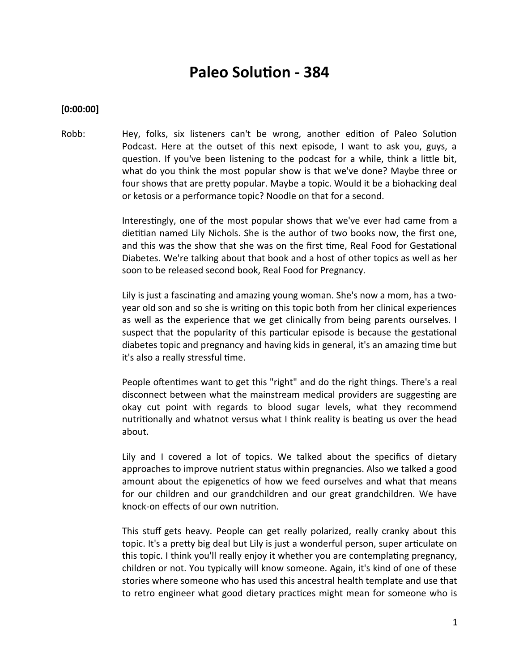# **Paleo Solution - 384**

#### **[0:00:00]**

Robb: Hey, folks, six listeners can't be wrong, another edition of Paleo Solution Podcast. Here at the outset of this next episode, I want to ask you, guys, a question. If you've been listening to the podcast for a while, think a little bit, what do you think the most popular show is that we've done? Maybe three or four shows that are prety popular. Maybe a topic. Would it be a biohacking deal or ketosis or a performance topic? Noodle on that for a second.

> Interestingly, one of the most popular shows that we've ever had came from a dietitian named Lily Nichols. She is the author of two books now, the first one, and this was the show that she was on the frst tme, Real Food for Gestatonal Diabetes. We're talking about that book and a host of other topics as well as her soon to be released second book, Real Food for Pregnancy.

> Lily is just a fascinating and amazing young woman. She's now a mom, has a twoyear old son and so she is writng on this topic both from her clinical experiences as well as the experience that we get clinically from being parents ourselvees. I suspect that the popularity of this partcular episode is because the gestatonal diabetes topic and pregnancy and having kids in general, it's an amazing time but it's also a really stressful time.

> People oftentimes want to get this "right" and do the right things. There's a real disconnect between what the mainstream medical providers are suggesting are okay cut point with regards to blood sugar levels, what they recommend nutritionally and whatnot versus what I think reality is beating us over the head about.

> Lily and I covered a lot of topics. We talked about the specifics of dietary approaches to improve nutrient status within pregnancies. Also we talked a good amount about the epigenetics of how we feed ourselves and what that means for our children and our grandchildren and our great grandchildren. We have knock-on efects of our own nutriton.

> This stuff gets heavy. People can get really polarized, really cranky about this topic. It's a prety big deal but Lily is just a wonderful person, super artculate on this topic. I think you'll really enjoy it whether you are contemplating pregnancy, children or not. You typically will know someone. Again, it's kind of one of these stories where someone who has used this ancestral health template and use that to retro engineer what good dietary practices might mean for someone who is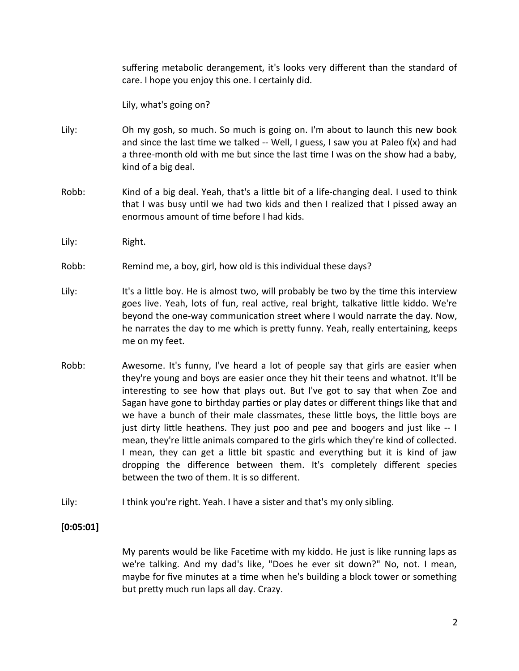suffering metabolic derangement, it's looks very different than the standard of care. I hope you enjoy this one. I certainly did.

Lily, what's going on?

- Lily: Oh my gosh, so much. So much is going on. I'm about to launch this new book and since the last time we talked  $-$  Well, I guess, I saw you at Paleo  $f(x)$  and had a three-month old with me but since the last tme I was on the show had a baby, kind of a big deal.
- Robb: Kind of a big deal. Yeah, that's a litle bit of a life-changing deal. I used to think that I was busy until we had two kids and then I realized that I pissed away an enormous amount of time before I had kids.
- Lily: Right.
- Robb: Remind me, a boy, girl, how old is this individual these days?
- Lily: It's a little boy. He is almost two, will probably be two by the time this interview goes live. Yeah, lots of fun, real active, real bright, talkative little kiddo. We're beyond the one-way communication street where I would narrate the day. Now, he narrates the day to me which is prety funny. Yeah, really entertaining, keeps me on my feet.
- Robb: Awesome. It's funny, I've heard a lot of people say that girls are easier when they're young and boys are easier once they hit their teens and whatnot. It'll be interesting to see how that plays out. But I've got to say that when Zoe and Sagan have gone to birthday parties or play dates or different things like that and we have a bunch of their male classmates, these little boys, the little boys are just dirty litle heathens. They just poo and pee and boogers and just like -- I mean, they're litle animals compared to the girls which they're kind of collected. I mean, they can get a little bit spastic and everything but it is kind of jaw dropping the diference between them. It's completely diferent species between the two of them. It is so diferent.
- Lily: I think you're right. Yeah. I have a sister and that's my only sibling.

# **[0:05:01]**

My parents would be like Facetme with my kiddo. He just is like running laps as we're talking. And my dad's like, "Does he ever sit down?" No, not. I mean, maybe for five minutes at a time when he's building a block tower or something but prety much run laps all day. Crazy.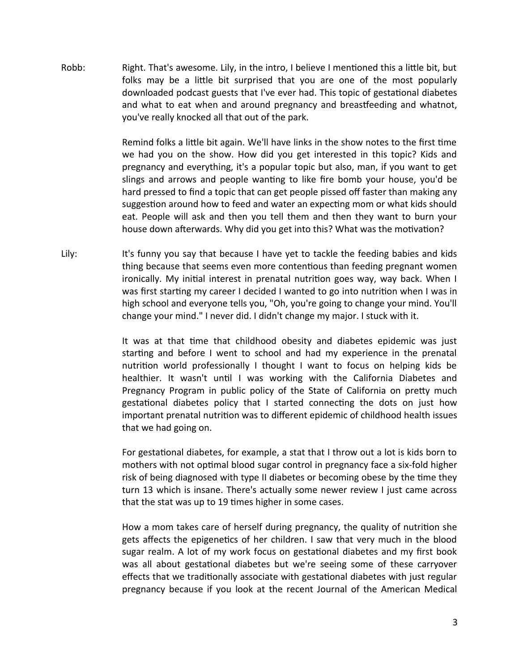Robb: Right. That's awesome. Lily, in the intro, I believe I mentioned this a little bit, but folks may be a litle bit surprised that you are one of the most popularly downloaded podcast guests that I've ever had. This topic of gestational diabetes and what to eat when and around pregnancy and breasteeding and whatnot, you've really knocked all that out of the park.

> Remind folks a little bit again. We'll have links in the show notes to the first time we had you on the show. How did you get interested in this topic? Kids and pregnancy and everything, it's a popular topic but also, man, if you want to get slings and arrows and people wantng to like fre bomb your house, you'd be hard pressed to find a topic that can get people pissed off faster than making any suggestion around how to feed and water an expecting mom or what kids should eat. People will ask and then you tell them and then they want to burn your house down afterwards. Why did you get into this? What was the motivation?

Lily: It's funny you say that because I have yet to tackle the feeding babies and kids thing because that seems even more contentious than feeding pregnant women ironically. My inital interest in prenatal nutriton goes way, way back. When I was first starting my career I decided I wanted to go into nutrition when I was in high school and everyone tells you, "Oh, you're going to change your mind. You'll change your mind." I neveer did. I didn't change my major. I stuck with it.

> It was at that tme that childhood obesity and diabetes epidemic was just startng and before I went to school and had my experience in the prenatal nutriton world professionally I thought I want to focus on helping kids be healthier. It wasn't until I was working with the California Diabetes and Pregnancy Program in public policy of the State of California on prety much gestational diabetes policy that I started connecting the dots on just how important prenatal nutriton was to diferent epidemic of childhood health issues that we had going on.

> For gestational diabetes, for example, a stat that I throw out a lot is kids born to mothers with not optmal blood sugar control in pregnancy face a six-fold higher risk of being diagnosed with type II diabetes or becoming obese by the tme they turn 13 which is insane. There's actually some newer review I just came across that the stat was up to 19 times higher in some cases.

> How a mom takes care of herself during pregnancy, the quality of nutriton she gets affects the epigenetics of her children. I saw that very much in the blood sugar realm. A lot of my work focus on gestatonal diabetes and my frst book was all about gestational diabetes but we're seeing some of these carryover efects that we traditonally associate with gestatonal diabetes with just regular pregnancy because if you look at the recent Journal of the American Medical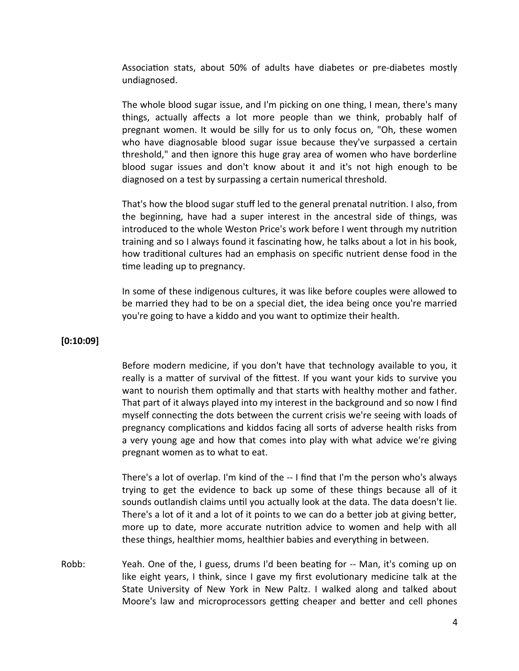Association stats, about 50% of adults have diabetes or pre-diabetes mostly undiagnosed.

The whole blood sugar issue, and I'm picking on one thing, I mean, there's many things, actually afects a lot more people than we think, probably half of pregnant women. It would be silly for us to only focus on, "Oh, these women who have diagnosable blood sugar issue because they've surpassed a certain threshold," and then ignore this huge gray area of women who have borderline blood sugar issues and don't know about it and it's not high enough to be diagnosed on a test by surpassing a certain numerical threshold.

That's how the blood sugar stuff led to the general prenatal nutrition. I also, from the beginning, have had a super interest in the ancestral side of things, was introduced to the whole Weston Price's work before I went through my nutriton training and so I always found it fascinatng how, he talks about a lot in his book, how traditonal cultures had an emphasis on specifc nutrient dense food in the time leading up to pregnancy.

In some of these indigenous cultures, it was like before couples were allowed to be married they had to be on a special diet, the idea being once you're married you're going to have a kiddo and you want to optimize their health.

# **[0:10:09]**

Before modern medicine, if you don't have that technology available to you, it really is a matter of survival of the fittest. If you want your kids to survive you want to nourish them optmally and that starts with healthy mother and father. That part of it always played into my interest in the background and so now I fnd myself connecting the dots between the current crisis we're seeing with loads of pregnancy complications and kiddos facing all sorts of adverse health risks from a very young age and how that comes into play with what advice we're giving pregnant women as to what to eat.

There's a lot of overlap. I'm kind of the -- I find that I'm the person who's always trying to get the evidence to back up some of these things because all of it sounds outlandish claims until you actually look at the data. The data doesn't lie. There's a lot of it and a lot of it points to we can do a better job at giving better, more up to date, more accurate nutrition advice to women and help with all these things, healthier moms, healthier babies and everything in between.

Robb: Yeah. One of the, I guess, drums I'd been beatng for -- Man, it's coming up on like eight years, I think, since I gave my first evolutionary medicine talk at the State University of New York in New Paltz. I walked along and talked about Moore's law and microprocessors getting cheaper and better and cell phones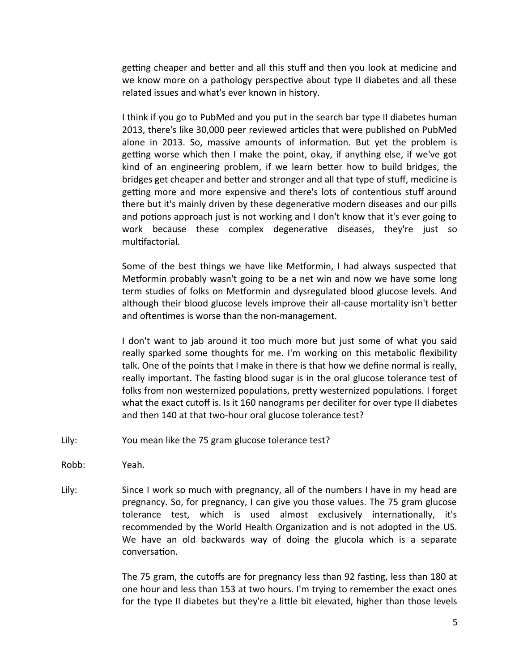getting cheaper and better and all this stuff and then you look at medicine and we know more on a pathology perspective about type II diabetes and all these related issues and what's ever known in history.

I think if you go to PubMed and you put in the search bar type II diabetes human 2013, there's like 30,000 peer reviewed articles that were published on PubMed alone in 2013. So, massive amounts of information. But yet the problem is getting worse which then I make the point, okay, if anything else, if we've got kind of an engineering problem, if we learn beter how to build bridges, the bridges get cheaper and better and stronger and all that type of stuff, medicine is getting more and more expensive and there's lots of contentious stuff around there but it's mainly driven by these degenerative modern diseases and our pills and potions approach just is not working and I don't know that it's ever going to work because these complex degenerative diseases, they're just so multifactorial.

Some of the best things we have like Metformin, I had always suspected that Metformin probably wasn't going to be a net win and now we have some long term studies of folks on Metformin and dysregulated blood glucose levels. And although their blood glucose levels improve their all-cause mortality isn't better and oftentimes is worse than the non-management.

I don't want to jab around it too much more but just some of what you said really sparked some thoughts for me. I'm working on this metabolic fexibility talk. One of the points that I make in there is that how we defne normal is really, really important. The fasting blood sugar is in the oral glucose tolerance test of folks from non westernized populations, pretty westernized populations. I forget what the exact cutoff is. Is it 160 nanograms per deciliter for over type II diabetes and then 140 at that two-hour oral glucose tolerance test?

- Lily: You mean like the 75 gram glucose tolerance test?
- Robb: Yeah.
- Lily: Since I work so much with pregnancy, all of the numbers I have in my head are pregnancy. So, for pregnancy, I can give you those values. The 75 gram glucose tolerance test, which is used almost exclusively internationally, it's recommended by the World Health Organization and is not adopted in the US. We have an old backwards way of doing the glucola which is a separate conversation.

The 75 gram, the cutofs are for pregnancy less than 92 fastng, less than 180 at one hour and less than 153 at two hours. I'm trying to remember the exact ones for the type II diabetes but they're a little bit elevated, higher than those levels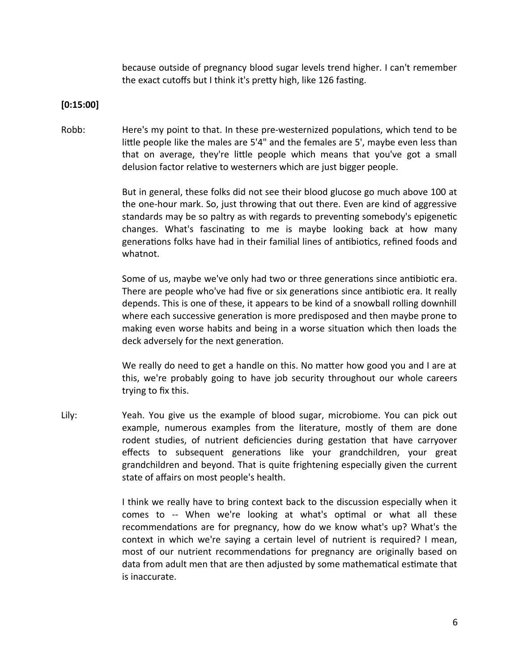because outside of pregnancy blood sugar levels trend higher. I can't remember the exact cutoffs but I think it's pretty high, like 126 fasting.

## **[0:15:00]**

Robb: Here's my point to that. In these pre-westernized populations, which tend to be little people like the males are 5'4" and the females are 5', maybe even less than that on average, they're little people which means that you've got a small delusion factor relative to westerners which are just bigger people.

> But in general, these folks did not see their blood glucose go much above 100 at the one-hour mark. So, just throwing that out there. Even are kind of aggressive standards may be so paltry as with regards to preventing somebody's epigenetic changes. What's fascinatng to me is maybe looking back at how many generations folks have had in their familial lines of antibiotics, refined foods and whatnot.

> Some of us, maybe we've only had two or three generations since antibiotic era. There are people who've had five or six generations since antibiotic era. It really depends. This is one of these, it appears to be kind of a snowball rolling downhill where each successive generation is more predisposed and then maybe prone to making even worse habits and being in a worse situation which then loads the deck adversely for the next generation.

> We really do need to get a handle on this. No matter how good you and I are at this, we're probably going to have job security throughout our whole careers trying to fix this.

Lily: Yeah. You give us the example of blood sugar, microbiome. You can pick out example, numerous examples from the literature, mostly of them are done rodent studies, of nutrient deficiencies during gestation that have carryover efects to subsequent generatons like your grandchildren, your great grandchildren and beyond. That is quite frightening especially given the current state of affairs on most people's health.

> I think we really have to bring context back to the discussion especially when it comes to -- When we're looking at what's optmal or what all these recommendations are for pregnancy, how do we know what's up? What's the context in which we're saying a certain level of nutrient is required? I mean, most of our nutrient recommendatons for pregnancy are originally based on data from adult men that are then adjusted by some mathematcal estmate that is inaccurate.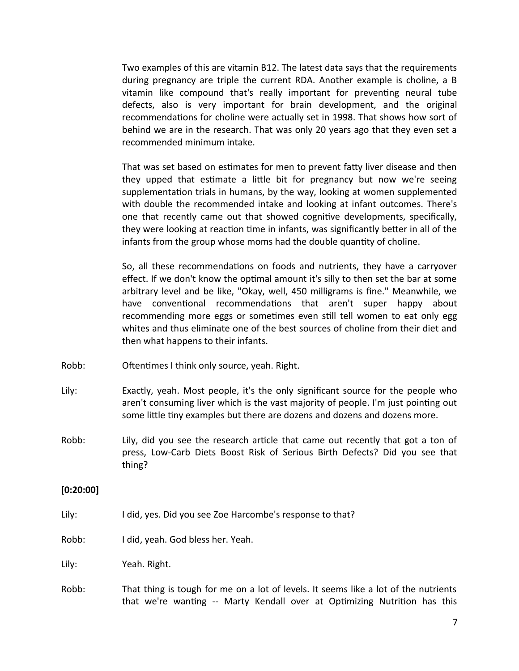Two examples of this are vitamin B12. The latest data says that the requirements during pregnancy are triple the current RDA. Another example is choline, a B vitamin like compound that's really important for preventing neural tube defects, also is very important for brain development, and the original recommendations for choline were actually set in 1998. That shows how sort of behind we are in the research. That was only 20 years ago that they even set a recommended minimum intake.

That was set based on estimates for men to prevent fatty liver disease and then they upped that estmate a litle bit for pregnancy but now we're seeing supplementation trials in humans, by the way, looking at women supplemented with double the recommended intake and looking at infant outcomes. There's one that recently came out that showed cognitive developments, specifically, they were looking at reaction time in infants, was significantly better in all of the infants from the group whose moms had the double quantity of choline.

So, all these recommendations on foods and nutrients, they have a carryover efect. If we don't know the optmal amount it's silly to then set the bar at some arbitrary level and be like, "Okay, well, 450 milligrams is fine." Meanwhile, we have conventional recommendations that aren't super happy about recommending more eggs or sometimes even still tell women to eat only egg whites and thus eliminate one of the best sources of choline from their diet and then what happens to their infants.

- Robb: Oftentimes I think only source, yeah. Right.
- Lily: Exactly, yeah. Most people, it's the only signifcant source for the people who aren't consuming liver which is the vast majority of people. I'm just pointing out some litle tny examples but there are dozens and dozens and dozens more.
- Robb: Lily, did you see the research artcle that came out recently that got a ton of press, Low-Carb Diets Boost Risk of Serious Birth Defects? Did you see that thing?

## **[0:20:00]**

- Lily: I did, yes. Did you see Zoe Harcombe's response to that?
- Robb: I did, yeah. God bless her. Yeah.

Lily: Yeah. Right.

Robb: That thing is tough for me on a lot of levels. It seems like a lot of the nutrients that we're wantng -- Marty Kendall oveer at Optmizing Nutriton has this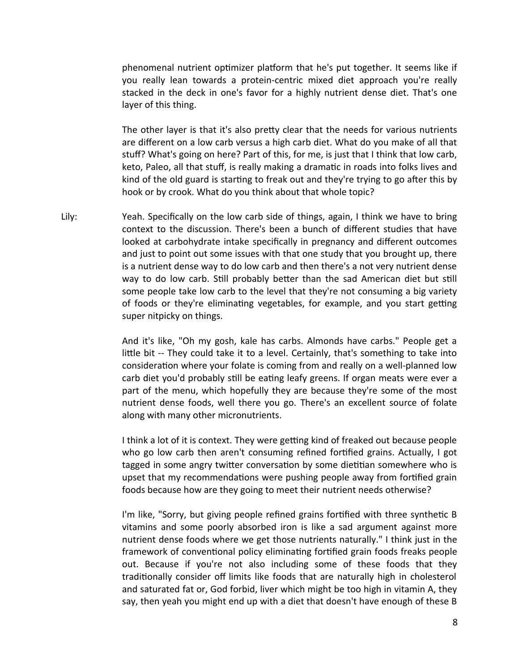phenomenal nutrient optimizer platform that he's put together. It seems like if you really lean towards a protein-centric mixed diet approach you're really stacked in the deck in one's favor for a highly nutrient dense diet. That's one layer of this thing.

The other layer is that it's also pretty clear that the needs for various nutrients are diferent on a low carb veersus a high carb diet. What do you make of all that stuf? What's going on here? Part of this, for me, is just that I think that low carb, keto, Paleo, all that stuff, is really making a dramatic in roads into folks lives and kind of the old guard is startng to freak out and they're trying to go afer this by hook or by crook. What do you think about that whole topic?

Lily: Yeah. Specifically on the low carb side of things, again, I think we have to bring context to the discussion. There's been a bunch of different studies that have looked at carbohydrate intake specifically in pregnancy and different outcomes and just to point out some issues with that one study that you brought up, there is a nutrient dense way to do low carb and then there's a not very nutrient dense way to do low carb. Still probably better than the sad American diet but still some people take low carb to the level that they're not consuming a big variety of foods or they're eliminating vegetables, for example, and you start getting super nitpicky on things.

> And it's like, "Oh my gosh, kale has carbs. Almonds have carbs." People get a little bit -- They could take it to a level. Certainly, that's something to take into consideration where your folate is coming from and really on a well-planned low carb diet you'd probably still be eating leafy greens. If organ meats were ever a part of the menu, which hopefully they are because they're some of the most nutrient dense foods, well there you go. There's an excellent source of folate along with many other micronutrients.

> I think a lot of it is context. They were getting kind of freaked out because people who go low carb then aren't consuming refined fortified grains. Actually, I got tagged in some angry twitter conversation by some dietitian somewhere who is upset that my recommendations were pushing people away from fortified grain foods because how are they going to meet their nutrient needs otherwise?

> I'm like, "Sorry, but giving people refined grains fortified with three synthetic B vitamins and some poorly absorbed iron is like a sad argument against more nutrient dense foods where we get those nutrients naturally." I think just in the framework of conventional policy eliminating fortified grain foods freaks people out. Because if you're not also including some of these foods that they traditonally consider of limits like foods that are naturally high in cholesterol and saturated fat or, God forbid, liver which might be too high in vitamin A, they say, then yeah you might end up with a diet that doesn't have enough of these B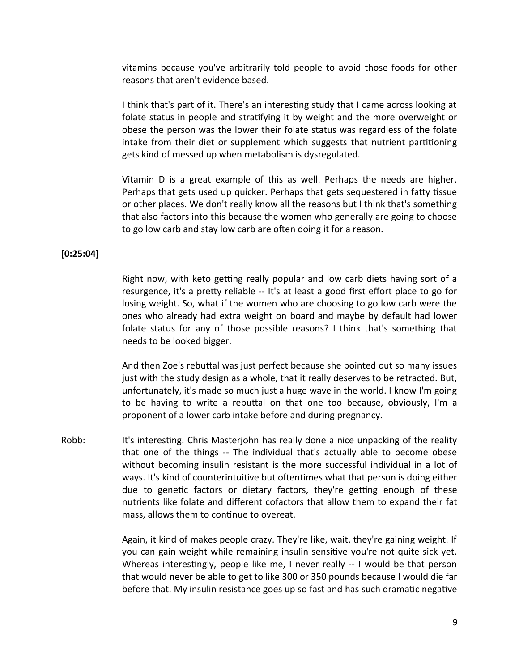vitamins because you've arbitrarily told people to avoid those foods for other reasons that aren't evidence based.

I think that's part of it. There's an interestng study that I came across looking at folate status in people and stratifying it by weight and the more overweight or obese the person was the lower their folate status was regardless of the folate intake from their diet or supplement which suggests that nutrient partitioning gets kind of messed up when metabolism is dysregulated.

Vitamin D is a great example of this as well. Perhaps the needs are higher. Perhaps that gets used up quicker. Perhaps that gets sequestered in fatty tissue or other places. We don't really know all the reasons but I think that's something that also factors into this because the women who generally are going to choose to go low carb and stay low carb are often doing it for a reason.

## **[0:25:04]**

Right now, with keto getting really popular and low carb diets having sort of a resurgence, it's a prety reliable -- It's at least a good frst efort place to go for losing weight. So, what if the women who are choosing to go low carb were the ones who already had extra weight on board and maybe by default had lower folate status for any of those possible reasons? I think that's something that needs to be looked bigger.

And then Zoe's rebutal was just perfect because she pointed out so many issues just with the study design as a whole, that it really deservees to be retracted. But, unfortunately, it's made so much just a huge wave in the world. I know I'm going to be having to write a rebuttal on that one too because, obviously, I'm a proponent of a lower carb intake before and during pregnancy.

Robb: It's interesting. Chris Masterjohn has really done a nice unpacking of the reality that one of the things -- The individual that's actually able to become obese without becoming insulin resistant is the more successful individual in a lot of ways. It's kind of counterintuitive but oftentimes what that person is doing either due to genetic factors or dietary factors, they're getting enough of these nutrients like folate and diferent cofactors that allow them to expand their fat mass, allows them to continue to overeat.

> Again, it kind of makes people crazy. They're like, wait, they're gaining weight. If you can gain weight while remaining insulin sensitive you're not quite sick yet. Whereas interestingly, people like me, I never really -- I would be that person that would neveer be able to get to like 300 or 350 pounds because I would die far before that. My insulin resistance goes up so fast and has such dramatic negative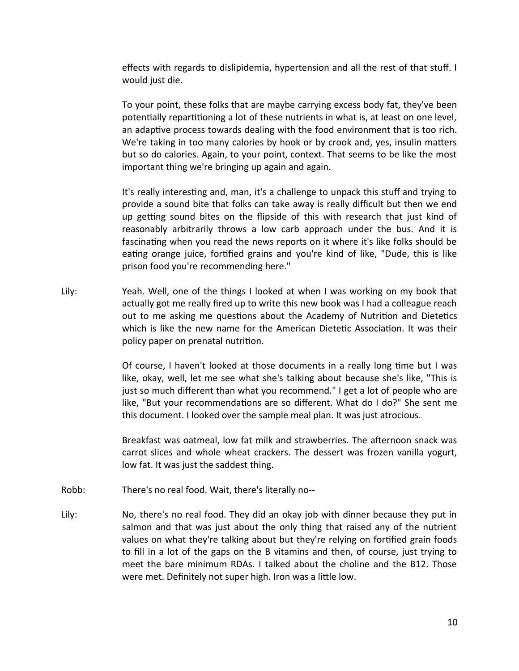efects with regards to dislipidemia, hypertension and all the rest of that stuf. I would just die.

To your point, these folks that are maybe carrying excess body fat, they've been potentially repartitioning a lot of these nutrients in what is, at least on one level, an adaptive process towards dealing with the food environment that is too rich. We're taking in too many calories by hook or by crook and, yes, insulin maters but so do calories. Again, to your point, context. That seems to be like the most important thing we're bringing up again and again.

It's really interesting and, man, it's a challenge to unpack this stuff and trying to provide a sound bite that folks can take away is really difficult but then we end up getting sound bites on the flipside of this with research that just kind of reasonably arbitrarily throws a low carb approach under the bus. And it is fascinating when you read the news reports on it where it's like folks should be eating orange juice, fortified grains and you're kind of like, "Dude, this is like prison food you're recommending here."

Lily: Yeah. Well, one of the things I looked at when I was working on my book that actually got me really fred up to write this new book was I had a colleague reach out to me asking me questions about the Academy of Nutrition and Dietetics which is like the new name for the American Dietetic Association. It was their policy paper on prenatal nutriton.

> Of course, I haven't looked at those documents in a really long time but I was like, okay, well, let me see what she's talking about because she's like, "This is just so much diferent than what you recommend." I get a lot of people who are like, "But your recommendations are so different. What do I do?" She sent me this document. I looked over the sample meal plan. It was just atrocious.

> Breakfast was oatmeal, low fat milk and strawberries. The afernoon snack was carrot slices and whole wheat crackers. The dessert was frozen vanilla yogurt, low fat. It was just the saddest thing.

- Robb: There's no real food. Wait, there's literally no--
- Lily: No, there's no real food. They did an okay job with dinner because they put in salmon and that was just about the only thing that raised any of the nutrient values on what they're talking about but they're relying on fortified grain foods to fill in a lot of the gaps on the B vitamins and then, of course, just trying to meet the bare minimum RDAs. I talked about the choline and the B12. Those were met. Definitely not super high. Iron was a little low.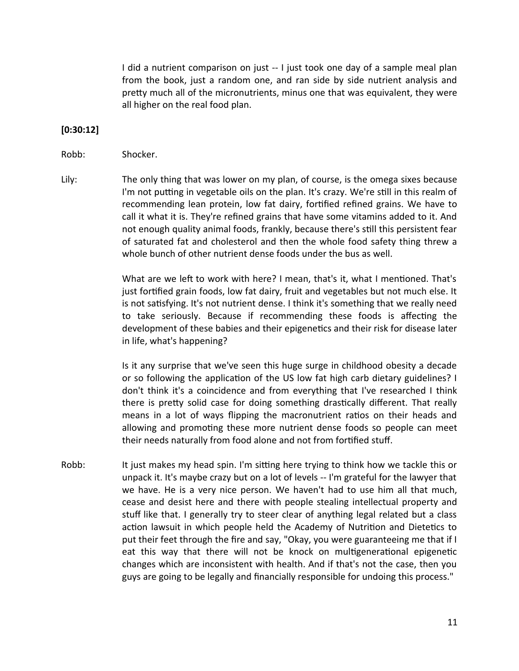I did a nutrient comparison on just -- I just took one day of a sample meal plan from the book, just a random one, and ran side by side nutrient analysis and pretty much all of the micronutrients, minus one that was equivalent, they were all higher on the real food plan.

# **[0:30:12]**

#### Robb: Shocker.

Lily: The only thing that was lower on my plan, of course, is the omega sixes because I'm not putting in vegetable oils on the plan. It's crazy. We're still in this realm of recommending lean protein, low fat dairy, fortified refined grains. We have to call it what it is. They're refined grains that have some vitamins added to it. And not enough quality animal foods, frankly, because there's stll this persistent fear of saturated fat and cholesterol and then the whole food safety thing threw a whole bunch of other nutrient dense foods under the bus as well.

> What are we left to work with here? I mean, that's it, what I mentioned. That's just fortified grain foods, low fat dairy, fruit and vegetables but not much else. It is not satsfying. It's not nutrient dense. I think it's something that we really need to take seriously. Because if recommending these foods is affecting the development of these babies and their epigenetics and their risk for disease later in life, what's happening?

> Is it any surprise that we've seen this huge surge in childhood obesity a decade or so following the applicaton of the US low fat high carb dietary guidelines? I don't think it's a coincidence and from everything that I've researched I think there is pretty solid case for doing something drastically different. That really means in a lot of ways fipping the macronutrient ratos on their heads and allowing and promotng these more nutrient dense foods so people can meet their needs naturally from food alone and not from fortified stuff.

Robb: It just makes my head spin. I'm sitting here trying to think how we tackle this or unpack it. It's maybe crazy but on a lot of levels -- I'm grateful for the lawyer that we have. He is a very nice person. We haven't had to use him all that much, cease and desist here and there with people stealing intellectual property and stuf like that. I generally try to steer clear of anything legal related but a class action lawsuit in which people held the Academy of Nutrition and Dietetics to put their feet through the fre and say, "Okay, you were guaranteeing me that if I eat this way that there will not be knock on multigenerational epigenetic changes which are inconsistent with health. And if that's not the case, then you guys are going to be legally and fnancially responsible for undoing this process."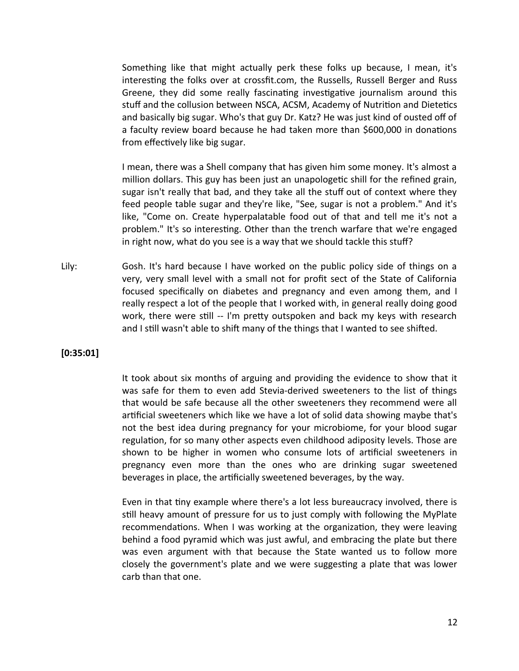Something like that might actually perk these folks up because, I mean, it's interesting the folks over at crossfit.com, the Russells, Russell Berger and Russ Greene, they did some really fascinating investigative journalism around this stuff and the collusion between NSCA, ACSM, Academy of Nutrition and Dietetics and basically big sugar. Who's that guy Dr. Katz? He was just kind of ousted off of a faculty review board because he had taken more than \$600,000 in donations from effectively like big sugar.

I mean, there was a Shell company that has giveen him some money. It's almost a million dollars. This guy has been just an unapologetic shill for the refined grain, sugar isn't really that bad, and they take all the stuff out of context where they feed people table sugar and they're like, "See, sugar is not a problem." And it's like, "Come on. Create hyperpalatable food out of that and tell me it's not a problem." It's so interestng. Other than the trench warfare that we're engaged in right now, what do you see is a way that we should tackle this stuf?

Lily: Gosh. It's hard because I have worked on the public policy side of things on a very, very small level with a small not for profit sect of the State of California focused specifically on diabetes and pregnancy and even among them, and I really respect a lot of the people that I worked with, in general really doing good work, there were still -- I'm pretty outspoken and back my keys with research and I still wasn't able to shift many of the things that I wanted to see shifted.

## **[0:35:01]**

It took about six months of arguing and providing the evidence to show that it was safe for them to even add Stevia-derived sweeteners to the list of things that would be safe because all the other sweeteners they recommend were all artificial sweeteners which like we have a lot of solid data showing maybe that's not the best idea during pregnancy for your microbiome, for your blood sugar regulation, for so many other aspects even childhood adiposity levels. Those are shown to be higher in women who consume lots of artificial sweeteners in pregnancy eveen more than the ones who are drinking sugar sweetened beverages in place, the artificially sweetened beverages, by the way.

Even in that tiny example where there's a lot less bureaucracy involved, there is still heavy amount of pressure for us to just comply with following the MyPlate recommendations. When I was working at the organization, they were leaving behind a food pyramid which was just awful, and embracing the plate but there was even argument with that because the State wanted us to follow more closely the goveernment's plate and we were suggestng a plate that was lower carb than that one.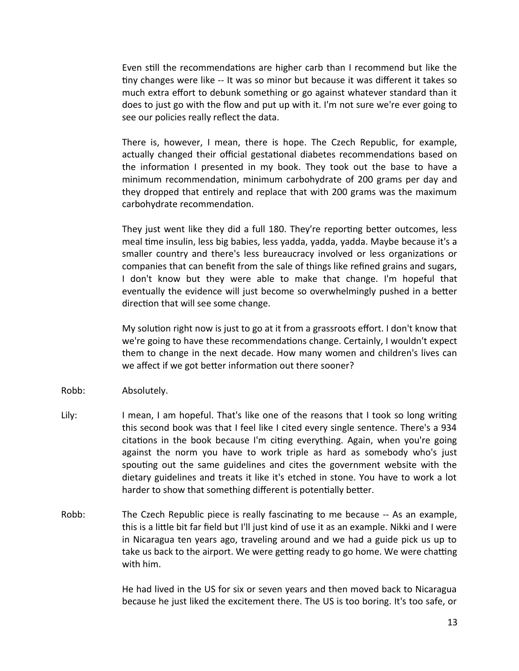Even still the recommendations are higher carb than I recommend but like the tny changes were like -- It was so minor but because it was diferent it takes so much extra effort to debunk something or go against whatever standard than it does to just go with the fow and put up with it. I'm not sure we're eveer going to see our policies really reflect the data.

There is, howeveer, I mean, there is hope. The Czech Republic, for example, actually changed their official gestational diabetes recommendations based on the information I presented in my book. They took out the base to have a minimum recommendation, minimum carbohydrate of 200 grams per day and they dropped that entrely and replace that with 200 grams was the maximum carbohydrate recommendation.

They just went like they did a full 180. They're reporting better outcomes, less meal time insulin, less big babies, less yadda, yadda, yadda. Maybe because it's a smaller country and there's less bureaucracy involved or less organizations or companies that can beneft from the sale of things like refned grains and sugars, I don't know but they were able to make that change. I'm hopeful that eventually the evidence will just become so overwhelmingly pushed in a better direction that will see some change.

My solution right now is just to go at it from a grassroots effort. I don't know that we're going to have these recommendations change. Certainly, I wouldn't expect them to change in the next decade. How many women and children's livees can we affect if we got better information out there sooner?

- Robb: Absolutely.
- Lily: I mean, I am hopeful. That's like one of the reasons that I took so long writng this second book was that I feel like I cited every single sentence. There's a 934 citatons in the book because I'm citng eveerything. Again, when you're going against the norm you have to work triple as hard as somebody who's just spouting out the same guidelines and cites the government website with the dietary guidelines and treats it like it's etched in stone. You have to work a lot harder to show that something different is potentially better.
- Robb: The Czech Republic piece is really fascinatng to me because -- As an example, this is a litle bit far feld but I'll just kind of use it as an example. Nikki and I were in Nicaragua ten years ago, traveling around and we had a guide pick us up to take us back to the airport. We were getting ready to go home. We were chatting with him.

He had lived in the US for six or seven years and then moved back to Nicaragua because he just liked the excitement there. The US is too boring. It's too safe, or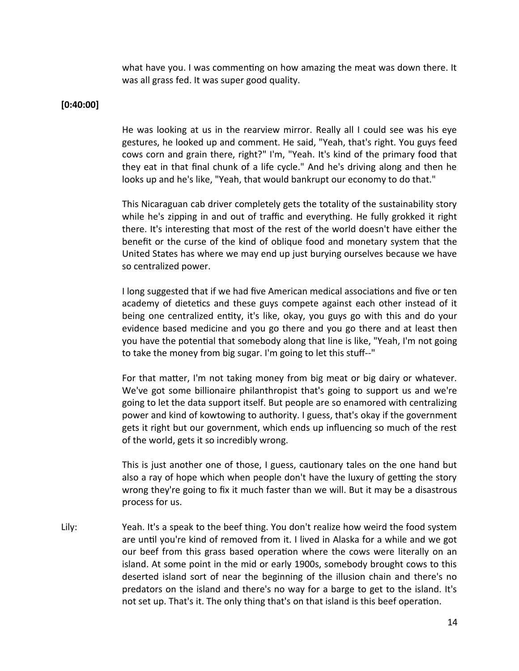what have you. I was commenting on how amazing the meat was down there. It was all grass fed. It was super good quality.

## **[0:40:00]**

He was looking at us in the rearview mirror. Really all I could see was his eye gestures, he looked up and comment. He said, "Yeah, that's right. You guys feed cows corn and grain there, right?" I'm, "Yeah. It's kind of the primary food that they eat in that final chunk of a life cycle." And he's driving along and then he looks up and he's like, "Yeah, that would bankrupt our economy to do that."

This Nicaraguan cab driver completely gets the totality of the sustainability story while he's zipping in and out of traffic and everything. He fully grokked it right there. It's interesting that most of the rest of the world doesn't have either the beneft or the curse of the kind of oblique food and monetary system that the United States has where we may end up just burying ourselves because we have so centralized power.

I long suggested that if we had five American medical associations and five or ten academy of dietetics and these guys compete against each other instead of it being one centralized entty, it's like, okay, you guys go with this and do your evidence based medicine and you go there and you go there and at least then you have the potential that somebody along that line is like, "Yeah, I'm not going to take the money from big sugar. I'm going to let this stuf--"

For that matter, I'm not taking money from big meat or big dairy or whatever. We've got some billionaire philanthropist that's going to support us and we're going to let the data support itself. But people are so enamored with centralizing power and kind of kowtowing to authority. I guess, that's okay if the goveernment gets it right but our goveernment, which ends up infuencing so much of the rest of the world, gets it so incredibly wrong.

This is just another one of those, I guess, cautonary tales on the one hand but also a ray of hope which when people don't have the luxury of getting the story wrong they're going to fx it much faster than we will. But it may be a disastrous process for us.

Lily: Yeah. It's a speak to the beef thing. You don't realize how weird the food system are until you're kind of removed from it. I lived in Alaska for a while and we got our beef from this grass based operation where the cows were literally on an island. At some point in the mid or early 1900s, somebody brought cows to this deserted island sort of near the beginning of the illusion chain and there's no predators on the island and there's no way for a barge to get to the island. It's not set up. That's it. The only thing that's on that island is this beef operaton.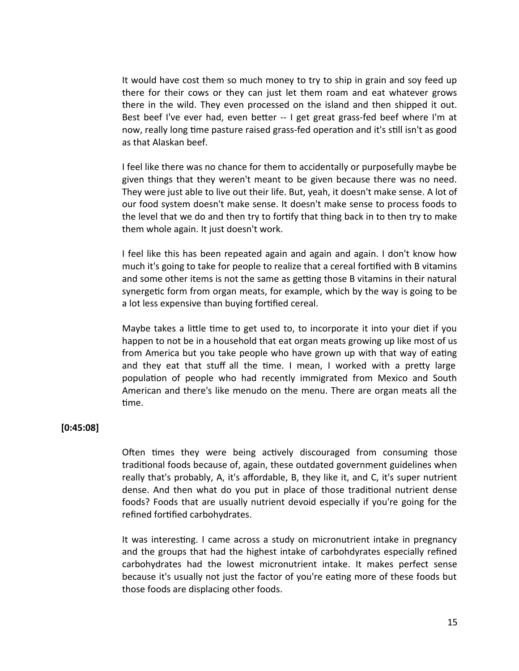It would have cost them so much money to try to ship in grain and soy feed up there for their cows or they can just let them roam and eat whatever grows there in the wild. They even processed on the island and then shipped it out. Best beef I've ever had, even better -- I get great grass-fed beef where I'm at now, really long time pasture raised grass-fed operation and it's still isn't as good as that Alaskan beef.

I feel like there was no chance for them to accidentally or purposefully maybe be given things that they weren't meant to be given because there was no need. They were just able to live out their life. But, yeah, it doesn't make sense. A lot of our food system doesn't make sense. It doesn't make sense to process foods to the level that we do and then try to fortify that thing back in to then try to make them whole again. It just doesn't work.

I feel like this has been repeated again and again and again. I don't know how much it's going to take for people to realize that a cereal fortified with B vitamins and some other items is not the same as getting those B vitamins in their natural synergetic form from organ meats, for example, which by the way is going to be a lot less expensive than buying fortified cereal.

Maybe takes a litle tme to get used to, to incorporate it into your diet if you happen to not be in a household that eat organ meats growing up like most of us from America but you take people who have grown up with that way of eating and they eat that stuff all the time. I mean, I worked with a pretty large population of people who had recently immigrated from Mexico and South American and there's like menudo on the menu. There are organ meats all the time.

## **[0:45:08]**

Often times they were being actively discouraged from consuming those traditonal foods because of, again, these outdated goveernment guidelines when really that's probably, A, it's affordable, B, they like it, and C, it's super nutrient dense. And then what do you put in place of those traditonal nutrient dense foods? Foods that are usually nutrient deveoid especially if you're going for the refined fortified carbohydrates.

It was interestng. I came across a study on micronutrient intake in pregnancy and the groups that had the highest intake of carbohdyrates especially refned carbohydrates had the lowest micronutrient intake. It makes perfect sense because it's usually not just the factor of you're eatng more of these foods but those foods are displacing other foods.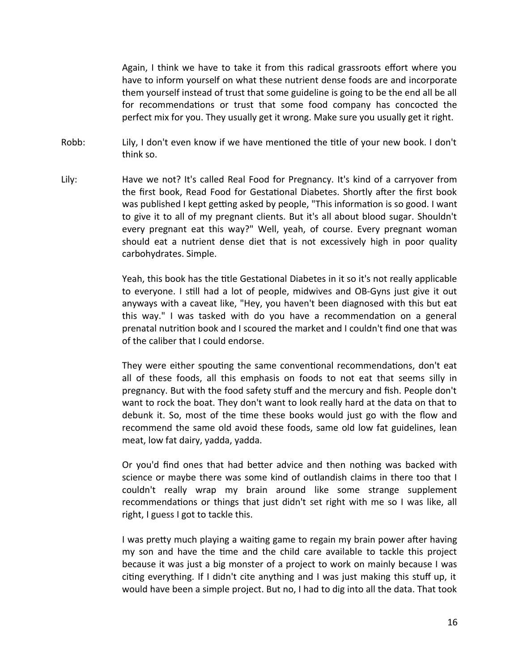Again, I think we have to take it from this radical grassroots effort where you have to inform yourself on what these nutrient dense foods are and incorporate them yourself instead of trust that some guideline is going to be the end all be all for recommendations or trust that some food company has concocted the perfect mix for you. They usually get it wrong. Make sure you usually get it right.

- Robb: Lily, I don't even know if we have mentioned the title of your new book. I don't think so.
- Lily: Have we not? It's called Real Food for Pregnancy. It's kind of a carryover from the first book, Read Food for Gestational Diabetes. Shortly after the first book was published I kept getting asked by people, "This information is so good. I want to give it to all of my pregnant clients. But it's all about blood sugar. Shouldn't every pregnant eat this way?" Well, yeah, of course. Every pregnant woman should eat a nutrient dense diet that is not excessively high in poor quality carbohydrates. Simple.

Yeah, this book has the ttle Gestatonal Diabetes in it so it's not really applicable to everyone. I still had a lot of people, midwives and OB-Gyns just give it out anyways with a caveat like, "Hey, you haven't been diagnosed with this but eat this way." I was tasked with do you have a recommendation on a general prenatal nutriton book and I scoured the market and I couldn't fnd one that was of the caliber that I could endorse.

They were either spouting the same conventional recommendations, don't eat all of these foods, all this emphasis on foods to not eat that seems silly in pregnancy. But with the food safety stuf and the mercury and fsh. People don't want to rock the boat. They don't want to look really hard at the data on that to debunk it. So, most of the time these books would just go with the flow and recommend the same old avoid these foods, same old low fat guidelines, lean meat, low fat dairy, yadda, yadda.

Or you'd find ones that had better advice and then nothing was backed with science or maybe there was some kind of outlandish claims in there too that I couldn't really wrap my brain around like some strange supplement recommendations or things that just didn't set right with me so I was like, all right, I guess I got to tackle this.

I was pretty much playing a waiting game to regain my brain power after having my son and have the time and the child care available to tackle this project because it was just a big monster of a project to work on mainly because I was citng eveerything. If I didn't cite anything and I was just making this stuf up, it would have been a simple project. But no, I had to dig into all the data. That took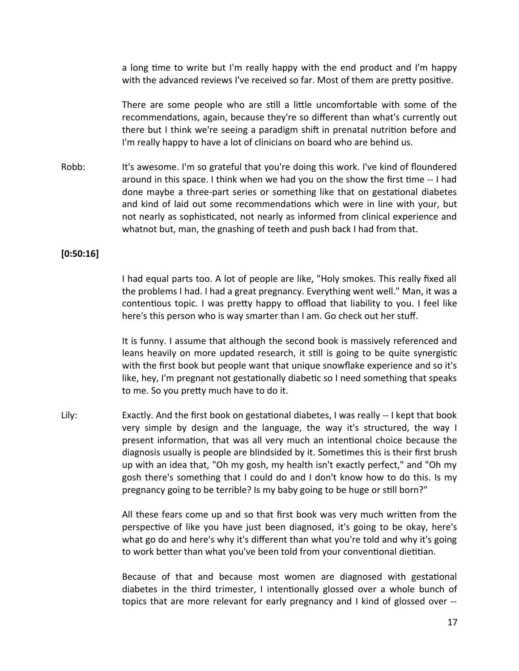a long time to write but I'm really happy with the end product and I'm happy with the advanced reviews I've received so far. Most of them are pretty positive.

There are some people who are stll a litle uncomfortable with some of the recommendations, again, because they're so different than what's currently out there but I think we're seeing a paradigm shift in prenatal nutrition before and I'm really happy to have a lot of clinicians on board who are behind us.

Robb: It's awesome. I'm so grateful that you're doing this work. I've kind of floundered around in this space. I think when we had you on the show the frst tme -- I had done maybe a three-part series or something like that on gestational diabetes and kind of laid out some recommendations which were in line with your, but not nearly as sophistcated, not nearly as informed from clinical experience and whatnot but, man, the gnashing of teeth and push back I had from that.

## **[0:50:16]**

I had equal parts too. A lot of people are like, "Holy smokes. This really fxed all the problems I had. I had a great pregnancy. Everything went well." Man, it was a contentious topic. I was pretty happy to offload that liability to you. I feel like here's this person who is way smarter than I am. Go check out her stuf.

It is funny. I assume that although the second book is massively referenced and leans heavily on more updated research, it still is going to be quite synergistic with the frst book but people want that unique snowfake experience and so it's like, hey, I'm pregnant not gestationally diabetic so I need something that speaks to me. So you pretty much have to do it.

Lily: Exactly. And the first book on gestational diabetes, I was really -- I kept that book very simple by design and the language, the way it's structured, the way I present informaton, that was all veery much an intentonal choice because the diagnosis usually is people are blindsided by it. Sometmes this is their frst brush up with an idea that, "Oh my gosh, my health isn't exactly perfect," and "Oh my gosh there's something that I could do and I don't know how to do this. Is my pregnancy going to be terrible? Is my baby going to be huge or still born?"

> All these fears come up and so that first book was very much written from the perspective of like you have just been diagnosed, it's going to be okay, here's what go do and here's why it's diferent than what you're told and why it's going to work better than what you've been told from your conventional dietitian.

> Because of that and because most women are diagnosed with gestational diabetes in the third trimester, I intentonally glossed oveer a whole bunch of topics that are more relevant for early pregnancy and I kind of glossed over --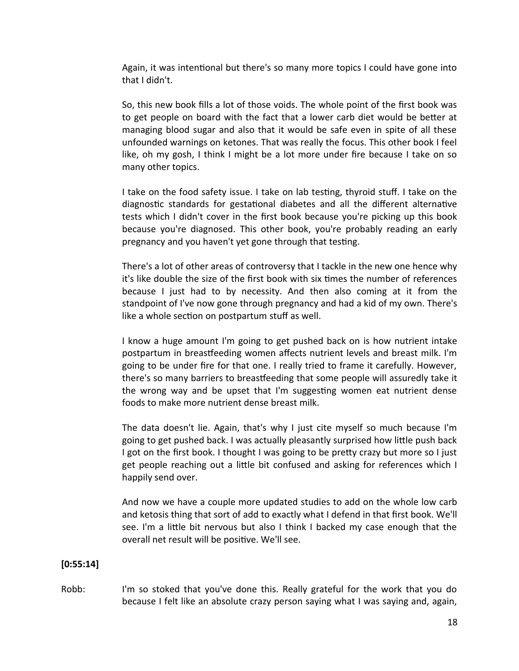Again, it was intentional but there's so many more topics I could have gone into that I didn't.

So, this new book fills a lot of those voids. The whole point of the first book was to get people on board with the fact that a lower carb diet would be beter at managing blood sugar and also that it would be safe even in spite of all these unfounded warnings on ketones. That was really the focus. This other book I feel like, oh my gosh, I think I might be a lot more under fre because I take on so many other topics.

I take on the food safety issue. I take on lab testng, thyroid stuf. I take on the diagnostic standards for gestational diabetes and all the different alternative tests which I didn't cover in the first book because you're picking up this book because you're diagnosed. This other book, you're probably reading an early pregnancy and you haven't yet gone through that testing.

There's a lot of other areas of controversy that I tackle in the new one hence why it's like double the size of the frst book with six tmes the number of references because I just had to by necessity. And then also coming at it from the standpoint of I've now gone through pregnancy and had a kid of my own. There's like a whole section on postpartum stuff as well.

I know a huge amount I'm going to get pushed back on is how nutrient intake postpartum in breastfeeding women affects nutrient levels and breast milk. I'm going to be under fre for that one. I really tried to frame it carefully. Howeveer, there's so many barriers to breasteeding that some people will assuredly take it the wrong way and be upset that I'm suggestng women eat nutrient dense foods to make more nutrient dense breast milk.

The data doesn't lie. Again, that's why I just cite myself so much because I'm going to get pushed back. I was actually pleasantly surprised how litle push back I got on the frst book. I thought I was going to be prety crazy but more so I just get people reaching out a litle bit confused and asking for references which I happily send over.

And now we have a couple more updated studies to add on the whole low carb and ketosis thing that sort of add to exactly what I defend in that frst book. We'll see. I'm a little bit nervous but also I think I backed my case enough that the overall net result will be positive. We'll see.

# **[0:55:14]**

Robb: I'm so stoked that you've done this. Really grateful for the work that you do because I felt like an absolute crazy person saying what I was saying and, again,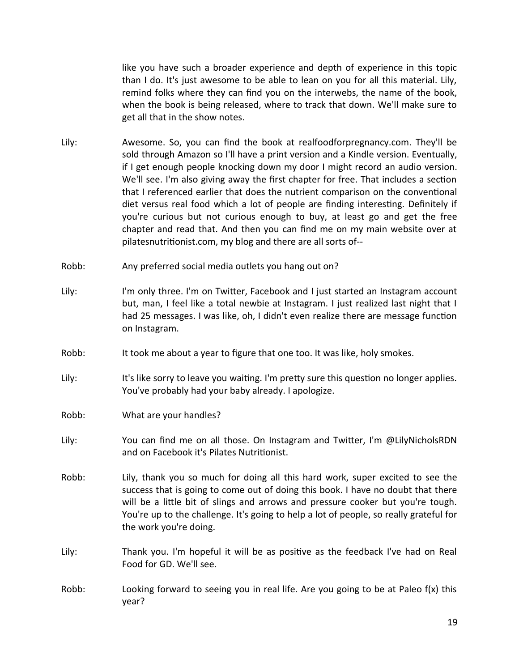like you have such a broader experience and depth of experience in this topic than I do. It's just awesome to be able to lean on you for all this material. Lily, remind folks where they can find you on the interwebs, the name of the book, when the book is being released, where to track that down. We'll make sure to get all that in the show notes.

- Lily: Awesome. So, you can fnd the book at realfoodforpregnancy.com. They'll be sold through Amazon so I'll have a print version and a Kindle version. Eventually, if I get enough people knocking down my door I might record an audio version. We'll see. I'm also giving away the first chapter for free. That includes a section that I referenced earlier that does the nutrient comparison on the conventional diet versus real food which a lot of people are finding interesting. Definitely if you're curious but not curious enough to buy, at least go and get the free chapter and read that. And then you can find me on my main website over at pilatesnutritonist.com, my blog and there are all sorts of--
- Robb: Any preferred social media outlets you hang out on?
- Lily: I'm only three. I'm on Twitter, Facebook and I just started an Instagram account but, man, I feel like a total newbie at Instagram. I just realized last night that I had 25 messages. I was like, oh, I didn't even realize there are message function on Instagram.
- Robb: It took me about a year to fgure that one too. It was like, holy smokes.
- Lily: It's like sorry to leave you waiting. I'm pretty sure this question no longer applies. You've probably had your baby already. I apologize.
- Robb: What are your handles?
- Lily: You can fnd me on all those. On Instagram and Twiter, I'm @LilyNicholsRDN and on Facebook it's Pilates Nutritonist.
- Robb: Lily, thank you so much for doing all this hard work, super excited to see the success that is going to come out of doing this book. I have no doubt that there will be a little bit of slings and arrows and pressure cooker but you're tough. You're up to the challenge. It's going to help a lot of people, so really grateful for the work you're doing.
- Lily: Thank you. I'm hopeful it will be as positive as the feedback I've had on Real Food for GD. We'll see.
- Robb: Looking forward to seeing you in real life. Are you going to be at Paleo f(x) this year?